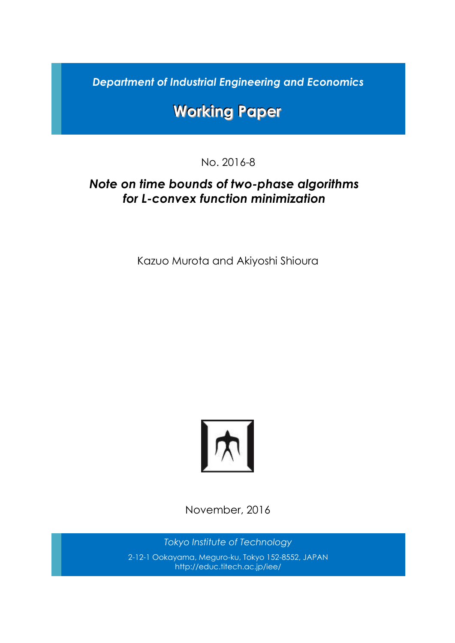*Department of Industrial Engineering and Economics*

# **Working Paper**

No. 2016-8

## *Note on time bounds of two-phase algorithms for L-convex function minimization*

Kazuo Murota and Akiyoshi Shioura



November, 2016

*Tokyo Institute of Technology* 2-12-1 Ookayama, Meguro-ku, Tokyo 152-8552, JAPAN http://educ.titech.ac.jp/iee/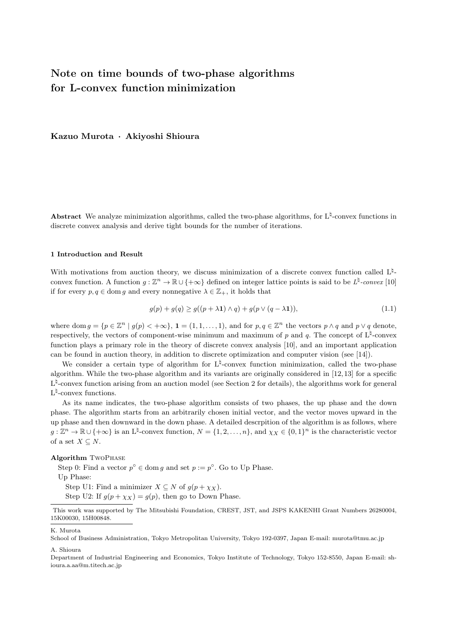### **Note on time bounds of two-phase algorithms for L-convex function minimization**

**Kazuo Murota** *·* **Akiyoshi Shioura**

Abstract We analyze minimization algorithms, called the two-phase algorithms, for L<sup>‡</sup>-convex functions in discrete convex analysis and derive tight bounds for the number of iterations.

#### **1 Introduction and Result**

With motivations from auction theory, we discuss minimization of a discrete convex function called L<sup> $\natural$ </sup>convex function. A function  $g: \mathbb{Z}^n \to \mathbb{R} \cup \{+\infty\}$  defined on integer lattice points is said to be  $L^{\natural}$ -convex [10] if for every  $p, q \in \text{dom } g$  and every nonnegative  $\lambda \in \mathbb{Z}_+$ , it holds that

$$
g(p) + g(q) \ge g((p + \lambda \mathbf{1}) \wedge q) + g(p \vee (q - \lambda \mathbf{1})),\tag{1.1}
$$

where dom  $g = \{p \in \mathbb{Z}^n \mid g(p) < +\infty\}, \mathbf{1} = (1, 1, \dots, 1),$  and for  $p, q \in \mathbb{Z}^n$  the vectors  $p \wedge q$  and  $p \vee q$  denote, respectively, the vectors of component-wise minimum and maximum of *p* and *q*. The concept of L*♮* -convex function plays a primary role in the theory of discrete convex analysis [10], and an important application can be found in auction theory, in addition to discrete optimization and computer vision (see [14]).

We consider a certain type of algorithm for L<sup> $\natural$ </sup>-convex function minimization, called the two-phase algorithm. While the two-phase algorithm and its variants are originally considered in [12, 13] for a specific L<sup>\t</sup>-convex function arising from an auction model (see Section 2 for details), the algorithms work for general L<sup> $\natural$ </sup>-convex functions.

As its name indicates, the two-phase algorithm consists of two phases, the up phase and the down phase. The algorithm starts from an arbitrarily chosen initial vector, and the vector moves upward in the up phase and then downward in the down phase. A detailed descrpition of the algorithm is as follows, where  $g: \mathbb{Z}^n \to \mathbb{R} \cup \{+\infty\}$  is an L<sup>t</sup>-convex function,  $N = \{1, 2, ..., n\}$ , and  $\chi_X \in \{0, 1\}^n$  is the characteristic vector of a set  $X \subseteq N$ .

#### **Algorithm** TwoPhase

Step 0: Find a vector  $p^{\circ} \in \text{dom } g$  and set  $p := p^{\circ}$ . Go to Up Phase.

Up Phase:

Step U1: Find a minimizer  $X \subseteq N$  of  $g(p + \chi_X)$ .

Step U2: If  $g(p + \chi_X) = g(p)$ , then go to Down Phase.

This work was supported by The Mitsubishi Foundation, CREST, JST, and JSPS KAKENHI Grant Numbers 26280004, 15K00030, 15H00848.

K. Murota

A. Shioura

Department of Industrial Engineering and Economics, Tokyo Institute of Technology, Tokyo 152-8550, Japan E-mail: shioura.a.aa@m.titech.ac.jp

School of Business Administration, Tokyo Metropolitan University, Tokyo 192-0397, Japan E-mail: murota@tmu.ac.jp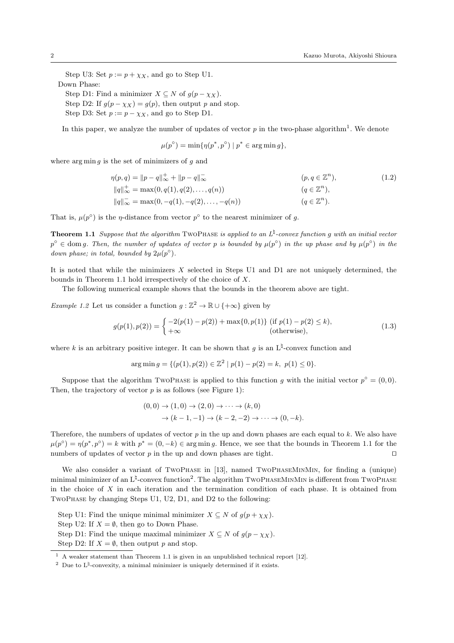Step U3: Set  $p := p + \chi_X$ , and go to Step U1. Down Phase: Step D1: Find a minimizer  $X \subseteq N$  of  $g(p - \chi_X)$ . Step D2: If  $g(p - \chi_X) = g(p)$ , then output *p* and stop.

Step D3: Set  $p := p - \chi_X$ , and go to Step D1.

In this paper, we analyze the number of updates of vector  $p$  in the two-phase algorithm<sup>1</sup>. We denote

$$
\mu(p^{\circ}) = \min\{\eta(p^*, p^{\circ}) \mid p^* \in \arg\min g\},\
$$

where arg min *g* is the set of minimizers of *g* and

$$
\eta(p,q) = ||p - q||_{\infty}^{+} + ||p - q||_{\infty}^{-}
$$
\n
$$
||q||_{\infty}^{+} = \max(0, q(1), q(2), ..., q(n))
$$
\n
$$
||q||_{\infty}^{-} = \max(0, -q(1), -q(2), ..., -q(n))
$$
\n
$$
(q \in \mathbb{Z}^{n}),
$$
\n
$$
(q \in \mathbb{Z}^{n}).
$$
\n
$$
(q \in \mathbb{Z}^{n}).
$$
\n
$$
(q \in \mathbb{Z}^{n}).
$$
\n
$$
(1.2)
$$

That is,  $\mu(p^{\circ})$  is the *η*-distance from vector  $p^{\circ}$  to the nearest minimizer of *g*.

**Theorem 1.1** *Suppose that the algorithm* TwoPhase *is applied to an L♮ -convex function g with an initial vector*  $p^{\circ} \in$  dom *g*. Then, the number of updates of vector p is bounded by  $\mu(p^{\circ})$  in the up phase and by  $\mu(p^{\circ})$  in the *down phase; in total, bounded by*  $2\mu(p^{\circ})$ *.* 

It is noted that while the minimizers *X* selected in Steps U1 and D1 are not uniquely determined, the bounds in Theorem 1.1 hold irrespectively of the choice of *X*.

The following numerical example shows that the bounds in the theorem above are tight.

*Example 1.2* Let us consider a function  $g : \mathbb{Z}^2 \to \mathbb{R} \cup \{+\infty\}$  given by

$$
g(p(1), p(2)) = \begin{cases} -2(p(1) - p(2)) + \max\{0, p(1)\} & \text{(if } p(1) - p(2) \le k), \\ +\infty & \text{(otherwise)}, \end{cases}
$$
(1.3)

where *k* is an arbitrary positive integer. It can be shown that  $g$  is an  $L^{\sharp}$ -convex function and

$$
\arg\min g = \{ (p(1), p(2)) \in \mathbb{Z}^2 \mid p(1) - p(2) = k, \ p(1) \le 0 \}.
$$

Suppose that the algorithm TwoPhase is applied to this function *g* with the initial vector  $p^{\circ} = (0,0)$ . Then, the trajectory of vector  $p$  is as follows (see Figure 1):

$$
(0,0) \to (1,0) \to (2,0) \to \cdots \to (k,0) \to (k-1,-1) \to (k-2,-2) \to \cdots \to (0,-k).
$$

Therefore, the numbers of updates of vector *p* in the up and down phases are each equal to *k*. We also have  $\mu(p^{\circ}) = \eta(p^*, p^{\circ}) = k$  with  $p^* = (0, -k) \in \arg \min g$ . Hence, we see that the bounds in Theorem 1.1 for the numbers of updates of vector *p* in the up and down phases are tight. *⊓⊔*

We also consider a variant of TwoPhase in [13], named TwoPhaseMinMin, for finding a (unique) minimal minimizer of an L<sup> $\natural$ </sup>-convex function<sup>2</sup>. The algorithm TwoPнAsEMINMIN is different from TwoPнAsE in the choice of *X* in each iteration and the termination condition of each phase. It is obtained from TwoPhase by changing Steps U1, U2, D1, and D2 to the following:

Step U1: Find the unique minimal minimizer  $X \subseteq N$  of  $g(p + \chi_X)$ .

Step U2: If  $X = \emptyset$ , then go to Down Phase.

Step D1: Find the unique maximal minimizer  $X \subseteq N$  of  $g(p - \chi_X)$ .

Step D2: If  $X = \emptyset$ , then output *p* and stop.

<sup>1</sup> A weaker statement than Theorem 1.1 is given in an unpublished technical report [12].

<sup>&</sup>lt;sup>2</sup> Due to  $L^{\natural}$ -convexity, a minimal minimizer is uniquely determined if it exists.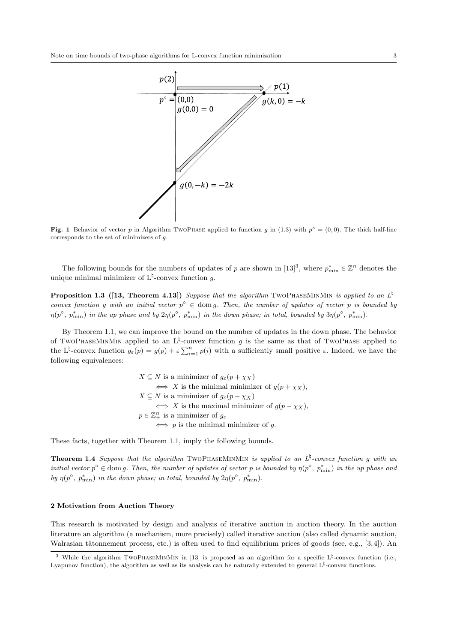

**Fig. 1** Behavior of vector *p* in Algorithm TwoPhase applied to function *g* in (1.3) with  $p^{\circ} = (0,0)$ . The thick half-line corresponds to the set of minimizers of *g*.

The following bounds for the numbers of updates of *p* are shown in [13]<sup>3</sup>, where  $p_{\min}^* \in \mathbb{Z}^n$  denotes the unique minimal minimizer of L*♮* -convex function *g*.

**Proposition 1.3** ([13, Theorem 4.13]) *Suppose that the algorithm* TWOPHASEMINMIN *is applied to an*  $L^{\natural}$ . *convex function g* with an initial vector  $p^{\circ} \in \text{dom } g$ . Then, the number of updates of vector p is bounded by  $\eta(p^{\circ},p_{\min}^*)$  in the up phase and by  $2\eta(p^{\circ},p_{\min}^*)$  in the down phase; in total, bounded by  $3\eta(p^{\circ},p_{\min}^*)$ .

By Theorem 1.1, we can improve the bound on the number of updates in the down phase. The behavior of TwoPhaseMinMin applied to an  $L^{\natural}$ -convex function g is the same as that of TwoPhase applied to the L<sup> $\sharp$ </sup>-convex function  $g_{\varepsilon}(p) = g(p) + \varepsilon \sum_{i=1}^{n} p(i)$  with a sufficiently small positive  $\varepsilon$ . Indeed, we have the following equivalences:

$$
X \subseteq N \text{ is a minimizer of } g_{\varepsilon}(p + \chi_X)
$$
  
\n
$$
\iff X \text{ is the minimal minimizer of } g(p + \chi_X),
$$
  
\n
$$
X \subseteq N \text{ is a minimizer of } g_{\varepsilon}(p - \chi_X)
$$
  
\n
$$
\iff X \text{ is the maximal minimizer of } g(p - \chi_X),
$$
  
\n
$$
p \in \mathbb{Z}_+^n \text{ is a minimizer of } g_{\varepsilon}
$$
  
\n
$$
\iff p \text{ is the minimal minimizer of } g.
$$

These facts, together with Theorem 1.1, imply the following bounds.

**Theorem 1.4** *Suppose that the algorithm* TwoPhaseMinMin *is applied to an L♮ -convex function g with an initial vector*  $p^{\circ} \in \text{dom } g$ *. Then, the number of updates of vector p is bounded by*  $\eta(p^{\circ}, p^*_{\text{min}})$  *in the up phase and by*  $\eta(p^{\circ}, p^*_{\min})$  *in the down phase; in total, bounded by*  $2\eta(p^{\circ}, p^*_{\min})$ *.* 

#### **2 Motivation from Auction Theory**

This research is motivated by design and analysis of iterative auction in auction theory. In the auction literature an algorithm (a mechanism, more precisely) called iterative auction (also called dynamic auction, Walrasian tâtonnement process, etc.) is often used to find equilibrium prices of goods (see, e.g., [3,4]). An

<sup>&</sup>lt;sup>3</sup> While the algorithm TwoPhaseMinMin in [13] is proposed as an algorithm for a specific  $L^{\sharp}$ -convex function (i.e., Lyapunov function), the algorithm as well as its analysis can be naturally extended to general L<sup>*t*</sup>-convex functions.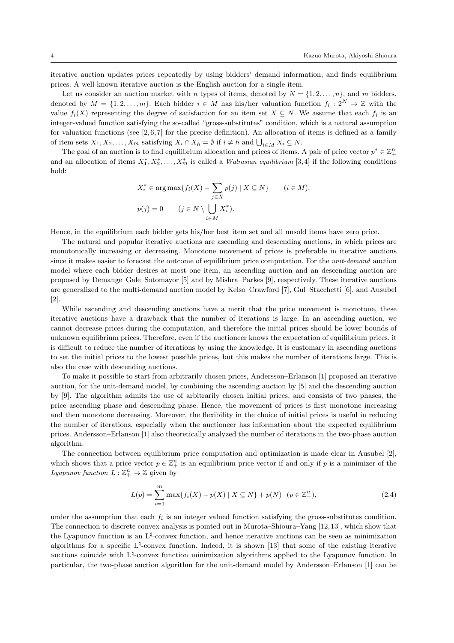iterative auction updates prices repeatedly by using bidders' demand information, and finds equilibrium prices. A well-known iterative auction is the English auction for a single item.

Let us consider an auction market with *n* types of items, denoted by  $N = \{1, 2, \ldots, n\}$ , and *m* bidders, denoted by  $M = \{1, 2, \ldots, m\}$ . Each bidder  $i \in M$  has his/her valuation function  $f_i: 2^N \to \mathbb{Z}$  with the value  $f_i(X)$  representing the degree of satisfaction for an item set  $X \subseteq N$ . We assume that each  $f_i$  is an integer-valued function satisfying the so-called "gross-substitutes" condition, which is a natural assumption for valuation functions (see  $[2,6,7]$  for the precise definition). An allocation of items is defined as a family of item sets  $X_1, X_2, \ldots, X_m$  satisfying  $X_i \cap X_h = \emptyset$  if  $i \neq h$  and  $\bigcup_{i \in M} X_i \subseteq N$ .

The goal of an auction is to find equilibrium allocation and prices of items. A pair of price vector  $p^* \in \mathbb{Z}_+^n$ and an allocation of items  $X_1^*, X_2^*, \ldots, X_m^*$  is called a *Walrasian equilibrium* [3,4] if the following conditions hold:

$$
X_i^* \in \arg \max \{ f_i(X) - \sum_{j \in X} p(j) \mid X \subseteq N \} \qquad (i \in M),
$$
  

$$
p(j) = 0 \qquad (j \in N \setminus \bigcup_{i \in M} X_i^*).
$$

Hence, in the equilibrium each bidder gets his/her best item set and all unsold items have zero price.

The natural and popular iterative auctions are ascending and descending auctions, in which prices are monotonically increasing or decreasing. Monotone movement of prices is preferable in iterative auctions since it makes easier to forecast the outcome of equilibrium price computation. For the *unit-demand* auction model where each bidder desires at most one item, an ascending auction and an descending auction are proposed by Demange–Gale–Sotomayor [5] and by Mishra–Parkes [9], respectively. These iterative auctions are generalized to the multi-demand auction model by Kelso–Crawford [7], Gul–Stacchetti [6], and Ausubel [2].

While ascending and descending auctions have a merit that the price movement is monotone, these iterative auctions have a drawback that the number of iterations is large. In an ascending auction, we cannot decrease prices during the computation, and therefore the initial prices should be lower bounds of unknown equilibrium prices. Therefore, even if the auctioneer knows the expectation of equilibrium prices, it is difficult to reduce the number of iterations by using the knowledge. It is customary in ascending auctions to set the initial prices to the lowest possible prices, but this makes the number of iterations large. This is also the case with descending auctions.

To make it possible to start from arbitrarily chosen prices, Andersson–Erlanson [1] proposed an iterative auction, for the unit-demand model, by combining the ascending auction by [5] and the descending auction by [9]. The algorithm admits the use of arbitrarily chosen initial prices, and consists of two phases, the price ascending phase and descending phase. Hence, the movement of prices is first monotone increasing and then monotone decreasing. Moreover, the flexibility in the choice of initial prices is useful in reducing the number of iterations, especially when the auctioneer has information about the expected equilibrium prices. Andersson–Erlanson [1] also theoretically analyzed the number of iterations in the two-phase auction algorithm.

The connection between equilibrium price computation and optimization is made clear in Ausubel [2], which shows that a price vector  $p \in \mathbb{Z}_+^n$  is an equilibrium price vector if and only if *p* is a minimizer of the *Lyapunov function*  $L: \mathbb{Z}_+^n \to \mathbb{Z}$  given by

$$
L(p) = \sum_{i=1}^{m} \max\{f_i(X) - p(X) \mid X \subseteq N\} + p(N) \quad (p \in \mathbb{Z}_+^n),\tag{2.4}
$$

under the assumption that each  $f_i$  is an integer valued function satisfying the gross-substitutes condition. The connection to discrete convex analysis is pointed out in Murota–Shioura–Yang [12, 13], which show that the Lyapunov function is an L*♮* -convex function, and hence iterative auctions can be seen as minimization algorithms for a specific L*♮* -convex function. Indeed, it is shown [13] that some of the existing iterative auctions coincide with L*♮* -convex function minimization algorithms applied to the Lyapunov function. In particular, the two-phase auction algorithm for the unit-demand model by Andersson–Erlanson [1] can be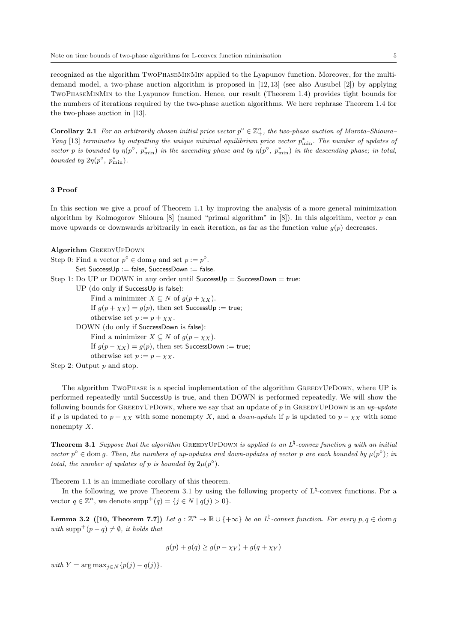recognized as the algorithm TwoPhaseMinMin applied to the Lyapunov function. Moreover, for the multidemand model, a two-phase auction algorithm is proposed in [12,13] (see also Ausubel [2]) by applying TwoPhaseMinMin to the Lyapunov function. Hence, our result (Theorem 1.4) provides tight bounds for the numbers of iterations required by the two-phase auction algorithms. We here rephrase Theorem 1.4 for the two-phase auction in [13].

**Corollary 2.1** For an arbitrarily chosen initial price vector  $p^{\circ} \in \mathbb{Z}_{+}^{n}$ , the two-phase auction of Murota–Shioura– *Yang* [13] *terminates by outputting the unique minimal equilibrium price vector*  $p_{\min}^*$ . The number of updates of *vector p is bounded by*  $\eta(p^{\circ}, p^*_{\min})$  *in the ascending phase and by*  $\eta(p^{\circ}, p^*_{\min})$  *in the descending phase; in total, bounded by*  $2\eta(p^{\circ}, p^*_{\min})$ *.* 

#### **3 Proof**

In this section we give a proof of Theorem 1.1 by improving the analysis of a more general minimization algorithm by Kolmogorov–Shioura [8] (named "primal algorithm" in [8]). In this algorithm, vector *p* can move upwards or downwards arbitrarily in each iteration, as far as the function value  $g(p)$  decreases.

```
Algorithm GreedyUpDown
Step 0: Find a vector p^{\circ} \in \text{dom } g and set p := p^{\circ}.
        Set SuccessUp := false, SuccessDown := false.
Step 1: Do UP or DOWN in any order until SuccessUp = SuccessDown = true:
        UP (do only if SuccessUp is false):
             Find a minimizer X \subseteq N of g(p + \chi_X).
             If g(p + \chi_X) = g(p), then set SuccessUp := true;
             otherwise set p := p + \chi_X.
        DOWN (do only if SuccessDown is false):
             Find a minimizer X \subseteq N of g(p - \chi_X).
             If g(p - \chi_X) = g(p), then set SuccessDown := true;
             otherwise set p := p - \chi_X.
Step 2: Output p and stop.
```
The algorithm TwoPhase is a special implementation of the algorithm GreedyUpDown, where UP is performed repeatedly until SuccessUp is true, and then DOWN is performed repeatedly. We will show the following bounds for GreedyUpDown, where we say that an update of *p* in GreedyUpDown is an *up-update* if *p* is updated to  $p + \chi_X$  with some nonempty *X*, and a *down-update* if *p* is updated to  $p - \chi_X$  with some nonempty *X*.

**Theorem 3.1** *Suppose that the algorithm* GREEDYUPDOWN *is applied to an*  $L^{\natural}$ -convex function g with an initial *vector*  $p^{\circ} \in \text{dom } g$ . Then, the numbers of up-updates and down-updates of vector p are each bounded by  $\mu(p^{\circ})$ ; in *total, the number of updates of p is bounded by*  $2\mu(p^{\circ})$ *.* 

Theorem 1.1 is an immediate corollary of this theorem.

In the following, we prove Theorem 3.1 by using the following property of  $L^{\natural}$ -convex functions. For a vector  $q \in \mathbb{Z}^n$ , we denote  $\text{supp}^+(q) = \{j \in N \mid q(j) > 0\}.$ 

**Lemma 3.2** ([10, Theorem 7.7]) Let  $g : \mathbb{Z}^n \to \mathbb{R} \cup \{+\infty\}$  be an  $L^{\natural}$ -convex function. For every  $p, q \in \text{dom } g$ *with* supp<sup>+</sup> $(p - q) \neq \emptyset$ *, it holds that* 

$$
g(p) + g(q) \ge g(p - \chi_Y) + g(q + \chi_Y)
$$

 $with Y = \arg \max_{i \in N} {p(j) - q(j)}.$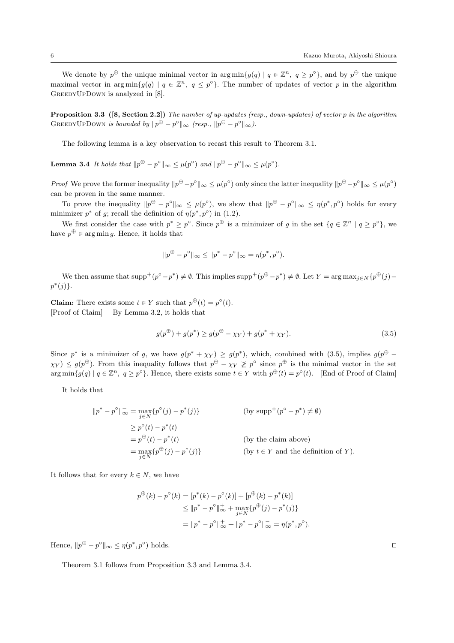We denote by  $p^{\oplus}$  the unique minimal vector in  $\arg \min \{g(q) | q \in \mathbb{Z}^n, q \geq p^{\circ}\}\)$ , and by  $p^{\ominus}$  the unique maximal vector in arg min ${g(q) | q \in \mathbb{Z}^n, q \leq p^{\circ}}$ . The number of updates of vector *p* in the algorithm GREEDYUPDOWN is analyzed in [8].

**Proposition 3.3 ([8, Section 2.2])** *The number of up-updates (resp., down-updates) of vector p in the algorithm*  $\text{GreebyUpDown } is \ bounded \ by \ } ||p^{\oplus} - p^{\circ}||_{\infty} \ \ (resp., \ } ||p^{\ominus} - p^{\circ}||_{\infty}).$ 

The following lemma is a key observation to recast this result to Theorem 3.1.

**Lemma 3.4** It holds that  $||p^{\oplus} - p^{\circ}||_{\infty} \le \mu(p^{\circ})$  and  $||p^{\ominus} - p^{\circ}||_{\infty} \le \mu(p^{\circ})$ .

*Proof* We prove the former inequality  $||p^{\oplus} - p^{\circ}||_{\infty} \le \mu(p^{\circ})$  only since the latter inequality  $||p^{\ominus} - p^{\circ}||_{\infty} \le \mu(p^{\circ})$ can be proven in the same manner.

To prove the inequality  $\|p^{\oplus} - p^{\circ}\|_{\infty} \leq \mu(p^{\circ})$ , we show that  $\|p^{\oplus} - p^{\circ}\|_{\infty} \leq \eta(p^*, p^{\circ})$  holds for every minimizer  $p^*$  of *g*; recall the definition of  $\eta(p^*, p^{\circ})$  in (1.2).

We first consider the case with  $p^* \geq p^{\circ}$ . Since  $p^{\oplus}$  is a minimizer of g in the set  $\{q \in \mathbb{Z}^n \mid q \geq p^{\circ}\}\$ , we have  $p^{\oplus} \in \arg \min g$ . Hence, it holds that

$$
||p^{\oplus} - p^{\circ}||_{\infty} \le ||p^* - p^{\circ}||_{\infty} = \eta(p^*, p^{\circ}).
$$

We then assume that  $\text{supp}^+(p^{\circ}-p^*) \neq \emptyset$ . This implies  $\text{supp}^+(p^{\oplus}-p^*) \neq \emptyset$ . Let  $Y = \arg \max_{j \in N} \{p^{\oplus}(j) - p^*\}$ *p ∗* (*j*)*}*.

**Claim:** There exists some  $t \in Y$  such that  $p^{\oplus}(t) = p^{\circ}(t)$ . [Proof of Claim] By Lemma 3.2, it holds that

$$
g(p^{\oplus}) + g(p^*) \ge g(p^{\oplus} - \chi_Y) + g(p^* + \chi_Y). \tag{3.5}
$$

Since  $p^*$  is a minimizer of *g*, we have  $g(p^* + \chi_Y) \ge g(p^*)$ , which, combined with (3.5), implies  $g(p^{\oplus} \chi_Y$ )  $\leq g(p^{\oplus})$ . From this inequality follows that  $p^{\oplus} - \chi_Y \ngeq p^{\circ}$  since  $p^{\oplus}$  is the minimal vector in the set  $\arg\min\{g(q) \mid q \in \mathbb{Z}^n, q \geq p^{\circ}\}\.$  Hence, there exists some  $t \in Y$  with  $p^{\oplus}(t) = p^{\circ}(t)$ . [End of Proof of Claim]

It holds that

$$
||p^* - p^{\circ}||_{\infty} = \max_{j \in N} \{p^{\circ}(j) - p^*(j)\}
$$
 (by supp<sup>+</sup>(p<sup>°</sup> - p<sup>\*</sup>)  $\neq \emptyset$ )  
\n
$$
\ge p^{\circ}(t) - p^*(t)
$$
  
\n
$$
= p^{\oplus}(t) - p^*(t)
$$
 (by the claim above)  
\n
$$
= \max_{j \in N} \{p^{\oplus}(j) - p^*(j)\}
$$
 (by  $t \in Y$  and the definition of Y).

It follows that for every  $k \in N$ , we have

$$
p^{\oplus}(k) - p^{\circ}(k) = [p^*(k) - p^{\circ}(k)] + [p^{\oplus}(k) - p^*(k)]
$$
  
\n
$$
\leq ||p^* - p^{\circ}||_{\infty}^+ + \max_{j \in N} \{p^{\oplus}(j) - p^*(j)\}
$$
  
\n
$$
= ||p^* - p^{\circ}||_{\infty}^+ + ||p^* - p^{\circ}||_{\infty}^- = \eta(p^*, p^{\circ}).
$$

 $\text{Hence, } ||p^{\oplus} - p^{\circ}||_{\infty} \leq \eta(p^*, p^{\circ})$ ) holds. *⊓⊔*

Theorem 3.1 follows from Proposition 3.3 and Lemma 3.4.